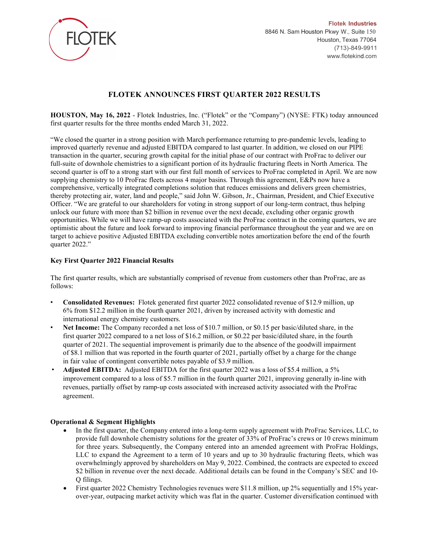

Flotek Industries 8846 N. Sam Houston Pkwy W., Suite 150 Houston, Texas 77064 (713)-849-9911 www.flotekind.com

# FLOTEK ANNOUNCES FIRST QUARTER 2022 RESULTS

HOUSTON, May 16, 2022 - Flotek Industries, Inc. ("Flotek" or the "Company") (NYSE: FTK) today announced first quarter results for the three months ended March 31, 2022.

"We closed the quarter in a strong position with March performance returning to pre-pandemic levels, leading to improved quarterly revenue and adjusted EBITDA compared to last quarter. In addition, we closed on our PIPE transaction in the quarter, securing growth capital for the initial phase of our contract with ProFrac to deliver our full-suite of downhole chemistries to a significant portion of its hydraulic fracturing fleets in North America. The second quarter is off to a strong start with our first full month of services to ProFrac completed in April. We are now supplying chemistry to 10 ProFrac fleets across 4 major basins. Through this agreement, E&Ps now have a comprehensive, vertically integrated completions solution that reduces emissions and delivers green chemistries, thereby protecting air, water, land and people," said John W. Gibson, Jr., Chairman, President, and Chief Executive Officer. "We are grateful to our shareholders for voting in strong support of our long-term contract, thus helping unlock our future with more than \$2 billion in revenue over the next decade, excluding other organic growth opportunities. While we will have ramp-up costs associated with the ProFrac contract in the coming quarters, we are optimistic about the future and look forward to improving financial performance throughout the year and we are on target to achieve positive Adjusted EBITDA excluding convertible notes amortization before the end of the fourth quarter 2022."

## Key First Quarter 2022 Financial Results

The first quarter results, which are substantially comprised of revenue from customers other than ProFrac, are as follows:

- Consolidated Revenues: Flotek generated first quarter 2022 consolidated revenue of \$12.9 million, up 6% from \$12.2 million in the fourth quarter 2021, driven by increased activity with domestic and international energy chemistry customers.
- Net Income: The Company recorded a net loss of \$10.7 million, or \$0.15 per basic/diluted share, in the first quarter 2022 compared to a net loss of \$16.2 million, or \$0.22 per basic/diluted share, in the fourth quarter of 2021. The sequential improvement is primarily due to the absence of the goodwill impairment of \$8.1 million that was reported in the fourth quarter of 2021, partially offset by a charge for the change in fair value of contingent convertible notes payable of \$3.9 million.
- Adjusted EBITDA: Adjusted EBITDA for the first quarter 2022 was a loss of \$5.4 million, a 5% improvement compared to a loss of \$5.7 million in the fourth quarter 2021, improving generally in-line with revenues, partially offset by ramp-up costs associated with increased activity associated with the ProFrac agreement.

## Operational & Segment Highlights

- In the first quarter, the Company entered into a long-term supply agreement with ProFrac Services, LLC, to provide full downhole chemistry solutions for the greater of 33% of ProFrac's crews or 10 crews minimum for three years. Subsequently, the Company entered into an amended agreement with ProFrac Holdings, LLC to expand the Agreement to a term of 10 years and up to 30 hydraulic fracturing fleets, which was overwhelmingly approved by shareholders on May 9, 2022. Combined, the contracts are expected to exceed \$2 billion in revenue over the next decade. Additional details can be found in the Company's SEC and 10- Q filings.
- First quarter 2022 Chemistry Technologies revenues were \$11.8 million, up 2% sequentially and 15% yearover-year, outpacing market activity which was flat in the quarter. Customer diversification continued with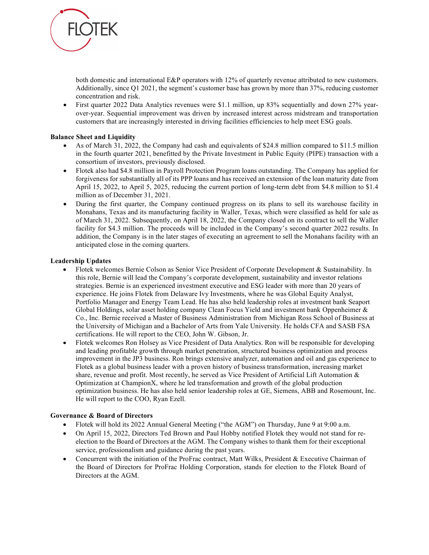

both domestic and international E&P operators with 12% of quarterly revenue attributed to new customers. Additionally, since Q1 2021, the segment's customer base has grown by more than 37%, reducing customer concentration and risk.

 First quarter 2022 Data Analytics revenues were \$1.1 million, up 83% sequentially and down 27% yearover-year. Sequential improvement was driven by increased interest across midstream and transportation customers that are increasingly interested in driving facilities efficiencies to help meet ESG goals.

## Balance Sheet and Liquidity

- As of March 31, 2022, the Company had cash and equivalents of \$24.8 million compared to \$11.5 million in the fourth quarter 2021, benefitted by the Private Investment in Public Equity (PIPE) transaction with a consortium of investors, previously disclosed.
- Flotek also had \$4.8 million in Payroll Protection Program loans outstanding. The Company has applied for forgiveness for substantially all of its PPP loans and has received an extension of the loan maturity date from April 15, 2022, to April 5, 2025, reducing the current portion of long-term debt from \$4.8 million to \$1.4 million as of December 31, 2021.
- During the first quarter, the Company continued progress on its plans to sell its warehouse facility in Monahans, Texas and its manufacturing facility in Waller, Texas, which were classified as held for sale as of March 31, 2022. Subsequently, on April 18, 2022, the Company closed on its contract to sell the Waller facility for \$4.3 million. The proceeds will be included in the Company's second quarter 2022 results. In addition, the Company is in the later stages of executing an agreement to sell the Monahans facility with an anticipated close in the coming quarters.

## Leadership Updates

- Flotek welcomes Bernie Colson as Senior Vice President of Corporate Development & Sustainability. In this role, Bernie will lead the Company's corporate development, sustainability and investor relations strategies. Bernie is an experienced investment executive and ESG leader with more than 20 years of experience. He joins Flotek from Delaware Ivy Investments, where he was Global Equity Analyst, Portfolio Manager and Energy Team Lead. He has also held leadership roles at investment bank Seaport Global Holdings, solar asset holding company Clean Focus Yield and investment bank Oppenheimer & Co., Inc. Bernie received a Master of Business Administration from Michigan Ross School of Business at the University of Michigan and a Bachelor of Arts from Yale University. He holds CFA and SASB FSA certifications. He will report to the CEO, John W. Gibson, Jr.
- Flotek welcomes Ron Holsey as Vice President of Data Analytics. Ron will be responsible for developing and leading profitable growth through market penetration, structured business optimization and process improvement in the JP3 business. Ron brings extensive analyzer, automation and oil and gas experience to Flotek as a global business leader with a proven history of business transformation, increasing market share, revenue and profit. Most recently, he served as Vice President of Artificial Lift Automation & Optimization at ChampionX, where he led transformation and growth of the global production optimization business. He has also held senior leadership roles at GE, Siemens, ABB and Rosemount, Inc. He will report to the COO, Ryan Ezell.

## Governance & Board of Directors

- Flotek will hold its 2022 Annual General Meeting ("the AGM") on Thursday, June 9 at 9:00 a.m.
- On April 15, 2022, Directors Ted Brown and Paul Hobby notified Flotek they would not stand for reelection to the Board of Directors at the AGM. The Company wishes to thank them for their exceptional service, professionalism and guidance during the past years.
- Concurrent with the initiation of the ProFrac contract, Matt Wilks, President & Executive Chairman of the Board of Directors for ProFrac Holding Corporation, stands for election to the Flotek Board of Directors at the AGM.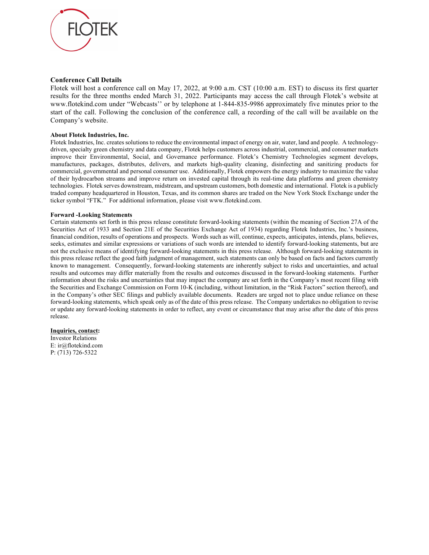

#### Conference Call Details

Flotek will host a conference call on May 17, 2022, at 9:00 a.m. CST (10:00 a.m. EST) to discuss its first quarter results for the three months ended March 31, 2022. Participants may access the call through Flotek's website at www.flotekind.com under "Webcasts'' or by telephone at 1-844-835-9986 approximately five minutes prior to the start of the call. Following the conclusion of the conference call, a recording of the call will be available on the Company's website.

#### About Flotek Industries, Inc.

Flotek Industries, Inc. creates solutions to reduce the environmental impact of energy on air, water, land and people. A technologydriven, specialty green chemistry and data company, Flotek helps customers across industrial, commercial, and consumer markets improve their Environmental, Social, and Governance performance. Flotek's Chemistry Technologies segment develops, manufactures, packages, distributes, delivers, and markets high-quality cleaning, disinfecting and sanitizing products for commercial, governmental and personal consumer use. Additionally, Flotek empowers the energy industry to maximize the value of their hydrocarbon streams and improve return on invested capital through its real-time data platforms and green chemistry technologies. Flotek serves downstream, midstream, and upstream customers, both domestic and international. Flotek is a publicly traded company headquartered in Houston, Texas, and its common shares are traded on the New York Stock Exchange under the ticker symbol "FTK." For additional information, please visit www.flotekind.com.

#### Forward -Looking Statements

Certain statements set forth in this press release constitute forward-looking statements (within the meaning of Section 27A of the Securities Act of 1933 and Section 21E of the Securities Exchange Act of 1934) regarding Flotek Industries, Inc.'s business, financial condition, results of operations and prospects. Words such as will, continue, expects, anticipates, intends, plans, believes, seeks, estimates and similar expressions or variations of such words are intended to identify forward-looking statements, but are not the exclusive means of identifying forward-looking statements in this press release. Although forward-looking statements in this press release reflect the good faith judgment of management, such statements can only be based on facts and factors currently known to management. Consequently, forward-looking statements are inherently subject to risks and uncertainties, and actual results and outcomes may differ materially from the results and outcomes discussed in the forward-looking statements. Further information about the risks and uncertainties that may impact the company are set forth in the Company's most recent filing with the Securities and Exchange Commission on Form 10-K (including, without limitation, in the "Risk Factors" section thereof), and in the Company's other SEC filings and publicly available documents. Readers are urged not to place undue reliance on these forward-looking statements, which speak only as of the date of this press release. The Company undertakes no obligation to revise or update any forward-looking statements in order to reflect, any event or circumstance that may arise after the date of this press release.

#### Inquiries, contact:

Investor Relations E: ir@flotekind.com P: (713) 726-5322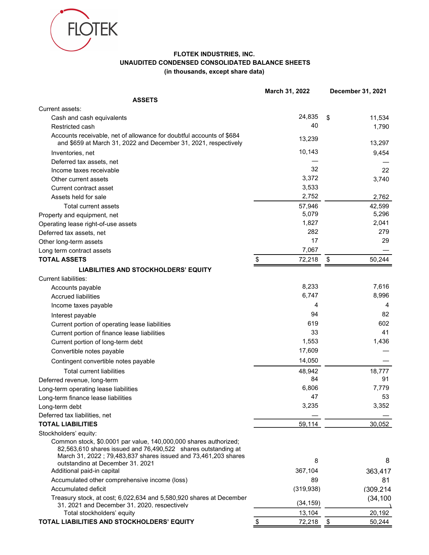

## FLOTEK INDUSTRIES, INC. UNAUDITED CONDENSED CONSOLIDATED BALANCE SHEETS (in thousands, except share data)

|                                                                                                                                         | March 31, 2022 | December 31, 2021 |
|-----------------------------------------------------------------------------------------------------------------------------------------|----------------|-------------------|
| <b>ASSETS</b>                                                                                                                           |                |                   |
| Current assets:                                                                                                                         |                |                   |
| Cash and cash equivalents                                                                                                               | 24,835         | \$<br>11,534      |
| Restricted cash                                                                                                                         | 40             | 1,790             |
| Accounts receivable, net of allowance for doubtful accounts of \$684<br>and \$659 at March 31, 2022 and December 31, 2021, respectively | 13,239         | 13,297            |
| Inventories, net                                                                                                                        | 10,143         | 9,454             |
| Deferred tax assets, net                                                                                                                |                |                   |
| Income taxes receivable                                                                                                                 | 32             | 22                |
| Other current assets                                                                                                                    | 3,372          | 3,740             |
| Current contract asset                                                                                                                  | 3,533          |                   |
| Assets held for sale                                                                                                                    | 2,752          | 2,762             |
| Total current assets                                                                                                                    | 57,946         | 42,599            |
| Property and equipment, net                                                                                                             | 5,079          | 5,296             |
| Operating lease right-of-use assets                                                                                                     | 1,827          | 2,041             |
| Deferred tax assets, net                                                                                                                | 282            | 279               |
| Other long-term assets                                                                                                                  | 17             | 29                |
| Long term contract assets                                                                                                               | 7,067          |                   |
| <b>TOTAL ASSETS</b>                                                                                                                     | 72,218<br>\$   | 50,244<br>\$      |
|                                                                                                                                         |                |                   |
| LIABILITIES AND STOCKHOLDERS' EQUITY                                                                                                    |                |                   |
| Current liabilities:                                                                                                                    |                |                   |
| Accounts payable                                                                                                                        | 8,233          | 7,616             |
| <b>Accrued liabilities</b>                                                                                                              | 6,747          | 8,996             |
| Income taxes payable                                                                                                                    | 4              | 4                 |
| Interest payable                                                                                                                        | 94             | 82                |
| Current portion of operating lease liabilities                                                                                          | 619            | 602               |
| Current portion of finance lease liabilities                                                                                            | 33             | 41                |
| Current portion of long-term debt                                                                                                       | 1,553          | 1,436             |
| Convertible notes payable                                                                                                               | 17,609         |                   |
| Contingent convertible notes payable                                                                                                    | 14,050         |                   |
| <b>Total current liabilities</b>                                                                                                        | 48,942         | 18,777            |
| Deferred revenue, long-term                                                                                                             | 84             | 91                |
| Long-term operating lease liabilities                                                                                                   | 6,806          | 7,779             |
| Long-term finance lease liabilities                                                                                                     | 47             | 53                |
| Long-term debt                                                                                                                          | 3,235          | 3,352             |
| Deferred tax liabilities, net                                                                                                           |                |                   |
| <b>TOTAL LIABILITIES</b>                                                                                                                | 59,114         | 30,052            |
| Stockholders' equity:                                                                                                                   |                |                   |
| Common stock, \$0.0001 par value, 140,000,000 shares authorized;<br>82,563,610 shares issued and 76,490,522 shares outstanding at       |                |                   |
| March 31, 2022; 79,483,837 shares issued and 73,461,203 shares<br>outstanding at December 31, 2021                                      | 8              | 8                 |
| Additional paid-in capital                                                                                                              | 367,104        | 363,417           |
| Accumulated other comprehensive income (loss)                                                                                           | 89             | 81                |
| Accumulated deficit                                                                                                                     | (319, 938)     | (309, 214)        |
| Treasury stock, at cost; 6,022,634 and 5,580,920 shares at December                                                                     |                |                   |
| 31, 2021 and December 31, 2020, respectively                                                                                            | (34, 159)      | (34, 100)         |
| Total stockholders' equity                                                                                                              | 13,104         | 20,192            |
| TOTAL LIABILITIES AND STOCKHOLDERS' EQUITY                                                                                              | 72,218         | 50,244<br>\$      |
|                                                                                                                                         |                |                   |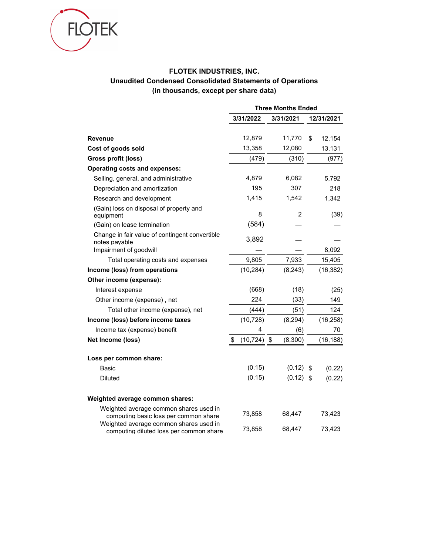

# FLOTEK INDUSTRIES, INC. Unaudited Condensed Consolidated Statements of Operations (in thousands, except per share data)

|                                                                                   | <b>Three Months Ended</b> |             |    |            |  |
|-----------------------------------------------------------------------------------|---------------------------|-------------|----|------------|--|
|                                                                                   | 3/31/2022                 | 3/31/2021   |    | 12/31/2021 |  |
| <b>Revenue</b>                                                                    | 12,879                    | 11,770      | \$ | 12,154     |  |
| Cost of goods sold                                                                | 13,358                    | 12,080      |    | 13,131     |  |
| Gross profit (loss)                                                               | (479)                     | (310)       |    | (977)      |  |
|                                                                                   |                           |             |    |            |  |
| <b>Operating costs and expenses:</b>                                              | 4,879                     | 6,082       |    |            |  |
| Selling, general, and administrative                                              | 195                       | 307         |    | 5,792      |  |
| Depreciation and amortization                                                     |                           |             |    | 218        |  |
| Research and development                                                          | 1,415                     | 1,542       |    | 1,342      |  |
| (Gain) loss on disposal of property and<br>equipment                              | 8                         | 2           |    | (39)       |  |
| (Gain) on lease termination                                                       | (584)                     |             |    |            |  |
| Change in fair value of contingent convertible<br>notes payable                   | 3,892                     |             |    |            |  |
| Impairment of goodwill                                                            |                           |             |    | 8,092      |  |
| Total operating costs and expenses                                                | 9,805                     | 7,933       |    | 15,405     |  |
| Income (loss) from operations                                                     | (10, 284)                 | (8, 243)    |    | (16, 382)  |  |
| Other income (expense):                                                           |                           |             |    |            |  |
| Interest expense                                                                  | (668)                     | (18)        |    | (25)       |  |
| Other income (expense), net                                                       | 224                       | (33)        |    | 149        |  |
| Total other income (expense), net                                                 | (444)                     | (51)        |    | 124        |  |
| Income (loss) before income taxes                                                 | (10, 728)                 | (8, 294)    |    | (16, 258)  |  |
| Income tax (expense) benefit                                                      | 4                         | (6)         |    | 70         |  |
| Net Income (loss)                                                                 | \$<br>$(10, 724)$ \$      | (8,300)     |    | (16, 188)  |  |
| Loss per common share:                                                            |                           |             |    |            |  |
| Basic                                                                             | (0.15)                    | (0.12)      | \$ | (0.22)     |  |
| <b>Diluted</b>                                                                    | (0.15)                    | $(0.12)$ \$ |    | (0.22)     |  |
| Weighted average common shares:                                                   |                           |             |    |            |  |
| Weighted average common shares used in<br>computing basic loss per common share   | 73,858                    | 68,447      |    | 73,423     |  |
| Weighted average common shares used in<br>computing diluted loss per common share | 73,858                    | 68,447      |    | 73,423     |  |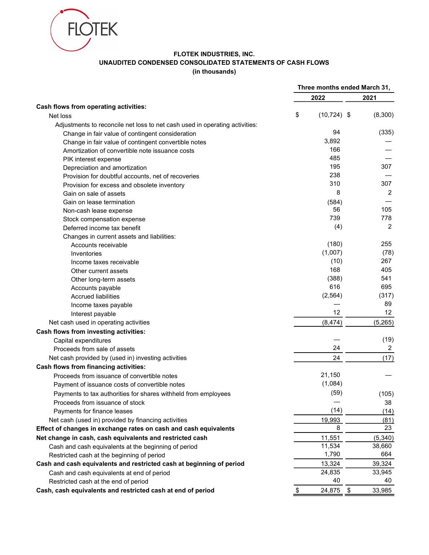

## FLOTEK INDUSTRIES, INC. UNAUDITED CONDENSED CONSOLIDATED STATEMENTS OF CASH FLOWS (in thousands)

|                                                                             | Three months ended March 31, |    |                |
|-----------------------------------------------------------------------------|------------------------------|----|----------------|
|                                                                             | 2022                         |    | 2021           |
| Cash flows from operating activities:                                       |                              |    |                |
| Net loss                                                                    | \$<br>$(10, 724)$ \$         |    | (8,300)        |
| Adjustments to reconcile net loss to net cash used in operating activities: |                              |    |                |
| Change in fair value of contingent consideration                            | 94                           |    | (335)          |
| Change in fair value of contingent convertible notes                        | 3,892                        |    |                |
| Amortization of convertible note issuance costs                             | 166                          |    |                |
| PIK interest expense                                                        | 485                          |    |                |
| Depreciation and amortization                                               | 195                          |    | 307            |
| Provision for doubtful accounts, net of recoveries                          | 238                          |    |                |
| Provision for excess and obsolete inventory                                 | 310                          |    | 307            |
| Gain on sale of assets                                                      | 8                            |    | $\overline{2}$ |
| Gain on lease termination                                                   | (584)                        |    |                |
| Non-cash lease expense                                                      | 56                           |    | 105            |
| Stock compensation expense                                                  | 739                          |    | 778            |
| Deferred income tax benefit                                                 | (4)                          |    | 2              |
| Changes in current assets and liabilities:                                  |                              |    |                |
|                                                                             | (180)                        |    | 255            |
| Accounts receivable                                                         | (1,007)                      |    | (78)           |
| Inventories                                                                 | (10)                         |    | 267            |
| Income taxes receivable                                                     | 168                          |    | 405            |
| Other current assets                                                        |                              |    |                |
| Other long-term assets                                                      | (388)                        |    | 541            |
| Accounts payable                                                            | 616                          |    | 695            |
| <b>Accrued liabilities</b>                                                  | (2, 564)                     |    | (317)          |
| Income taxes payable                                                        |                              |    | 89             |
| Interest payable                                                            | 12                           |    | 12             |
| Net cash used in operating activities                                       | (8, 474)                     |    | (5,265)        |
| Cash flows from investing activities:                                       |                              |    |                |
| Capital expenditures                                                        |                              |    | (19)           |
| Proceeds from sale of assets                                                | 24                           |    | 2              |
| Net cash provided by (used in) investing activities                         | 24                           |    | (17)           |
| Cash flows from financing activities:                                       |                              |    |                |
| Proceeds from issuance of convertible notes                                 | 21,150                       |    |                |
| Payment of issuance costs of convertible notes                              | (1,084)                      |    |                |
| Payments to tax authorities for shares withheld from employees              | (59)                         |    | (105)          |
| Proceeds from issuance of stock                                             |                              |    | 38             |
| Payments for finance leases                                                 | (14)                         |    | (14)           |
| Net cash (used in) provided by financing activities                         | 19,993                       |    | (81)           |
| Effect of changes in exchange rates on cash and cash equivalents            | 8                            |    | 23             |
| Net change in cash, cash equivalents and restricted cash                    | 11,551                       |    | (5, 340)       |
| Cash and cash equivalents at the beginning of period                        | 11,534                       |    | 38,660         |
|                                                                             | 1,790                        |    | 664            |
| Restricted cash at the beginning of period                                  |                              |    |                |
| Cash and cash equivalents and restricted cash at beginning of period        | 13,324                       |    | 39,324         |
| Cash and cash equivalents at end of period                                  | 24,835                       |    | 33,945         |
| Restricted cash at the end of period                                        | 40                           |    | 40             |
| Cash, cash equivalents and restricted cash at end of period                 | \$<br>24,875                 | \$ | 33,985         |